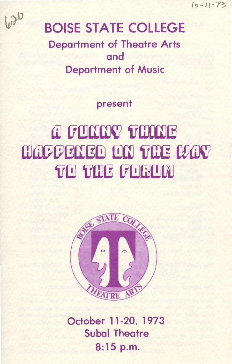$10 - 11 - 73$ 



# BOISE STATE COLLEGE Department of Theatre Arts and Department of Music

present

# **G FUNNY THING RADDENED ON THE WAY TO THE FORUM**



October 11-20, 1973 Subal Theatre 8:15 p.m.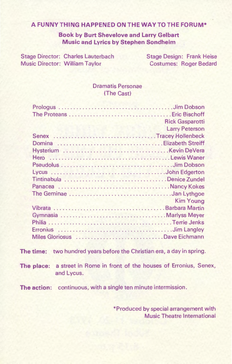#### **A FUNNY THING HAPPENED ONTHEWAYTOTHE FORUM\***

# **Book by Burt Shevelove and Larry Gelbart Music and Lyrics by Stephen Sondheim**

Stage Director: Charles Lauterbach Music Director: William Taylor

Stage Design: Frank Heise Costumes: Roger Bedard

#### Dramatis Personae (The Cast)

|                               | <b>Rick Gasparotti</b> |
|-------------------------------|------------------------|
|                               | <b>Larry Peterson</b>  |
| Senex Tracey Hollenbeck       |                        |
|                               |                        |
|                               |                        |
|                               |                        |
|                               |                        |
|                               |                        |
| Tintinabula Denice Zundel     |                        |
|                               |                        |
| The Geminae Jan Lythgoe       |                        |
|                               | <b>Kim Young</b>       |
|                               |                        |
|                               |                        |
|                               |                        |
|                               |                        |
| Miles Gloriosus Dave Eichmann |                        |

**The time:** two hundred years before the Christian era, a day in spring.

**The place:** a street in Rome in front of the houses of Erronius, Senex, and Lycus.

**The action:** continuous, with a single ten minute intermission.

\*Produced by special arrangement with Music Theatre International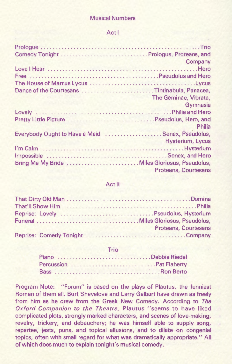#### Musical Numbers

### Act!

|                                                  | Company                 |
|--------------------------------------------------|-------------------------|
|                                                  |                         |
|                                                  |                         |
|                                                  |                         |
| Dance of the Courtesans Tintinabula, Panacea,    |                         |
|                                                  | The Geminae, Vibrata,   |
|                                                  | Gymnasia                |
|                                                  |                         |
| Pretty Little Picture Pseudolus, Hero, and       |                         |
|                                                  | Philia                  |
| Everybody Ought to Have a Maid Senex, Pseudolus, |                         |
|                                                  | <b>Hysterium, Lycus</b> |
|                                                  |                         |
|                                                  |                         |
| Bring Me My Bride  Miles Gloriosus, Pseudolus,   |                         |
|                                                  | Proteans, Courtesans    |

# Act II

| <b>Proteans, Courtesans</b> |
|-----------------------------|
|                             |

#### Trio

| Piano Debbie Riedel |  |
|---------------------|--|
|                     |  |
|                     |  |

Program Note: "Forum" is based on the plays of Plautus, the funniest Roman of them all. Burt Shevelove and Larry Gelbart have drawn as freely from him as he drew from the Greek New Comedy. According to The Oxford Companion to the Theatre, Plautus "seems to have liked complicated plots, strongly marked characters, and scenes of love-making, revelry, trickery, and debauchery; he was himself able to supply song, repartee, jests, puns, and topical allusions, and to dilate on congenial topics, often with small regard for what was dramatically appropriate." All of which does much to explain tonight's musical comedy.